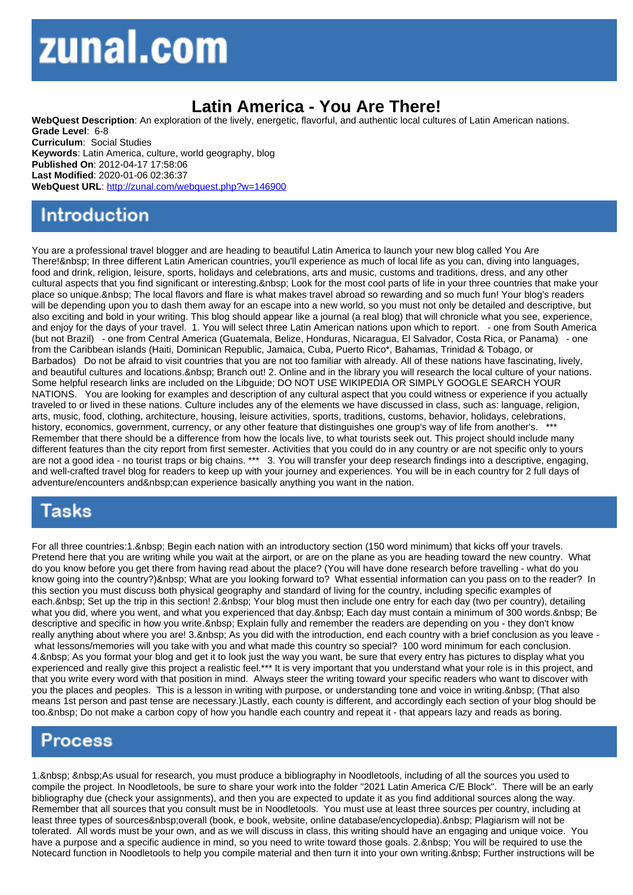## Latin America - You Are There!

WebQuest Description: An exploration of the lively, energetic, flavorful, and authentic local cultures of Latin American nations. Grade Level: 6-8 Curriculum: Social Studies Keywords: Latin America, culture, world geography, blog Published On: 2012-04-17 17:58:06 Last Modified: 2020-01-06 02:36:37 WebQuest URL: http://zunal.com/webquest.php?w=146900

You are a professional travel blogger and are heading to beautiful Latin America to launch your new blog called You Are There! In three different Latin American countries, you'll experience as much of local life as you can, diving into languages, food and drink, religion, leisure, sports, holidays and celebrations, arts and music, customs and traditions, dress, and any other cultural aspects that you find significant or interesting. Look for the most cool parts of life in your three countries that make your place so unique. The local flavors and flare is what makes travel abroad so rewarding and so much fun! Your blog's readers will be depending upon you to dash them away for an escape into a new world, so you must not only be detailed and descriptive, but also exciting and bold in your writing. This blog should appear like a journal (a real blog) that will chronicle what you see, experience, and enjoy for the days of your travel. 1. You will select three Latin American nations upon which to report. - one from South America (but not Brazil) - one from Central America (Guatemala, Belize, Honduras, Nicaragua, El Salvador, Costa Rica, or Panama) - one from the Caribbean islands (Haiti, Dominican Republic, Jamaica, Cuba, Puerto Rico\*, Bahamas, Trinidad & Tobago, or Barbados) Do not be afraid to visit countries that you are not too familiar with already. All of these nations have fascinating, lively, and beautiful cultures and locations. Branch out! 2. Online and in the library you will research the local culture of your nations. Some helpful research links are included on the Libguide; DO NOT USE WIKIPEDIA OR SIMPLY GOOGLE SEARCH YOUR NATIONS. You are looking for examples and description of any cultural aspect that you could witness or experience if you actually traveled to or lived in these nations. Culture includes any of the elements we have discussed in class, such as: language, religion, arts, music, food, clothing, architecture, housing, leisure activities, sports, traditions, customs, behavior, holidays, celebrations, history, economics, government, currency, or any other feature that distinguishes one group's way of life from another's. \*\*\* Remember that there should be a difference from how the locals live, to what tourists seek out. This project should include many different features than the city report from first semester. Activities that you could do in any country or are not specific only to yours are not a good idea - no tourist traps or big chains. \*\*\* 3. You will transfer your deep research findings into a descriptive, engaging, and well-crafted travel blog for readers to keep up with your journey and experiences. You will be in each country for 2 full days of adventure/encounters and & nbsp: can experience basically anything you want in the nation.

For all three countries:1. Begin each nation with an introductory section (150 word minimum) that kicks off your travels. Pretend here that you are writing while you wait at the airport, or are on the plane as you are heading toward the new country. What do you know before you get there from having read about the place? (You will have done research before travelling - what do you know going into the country?) & nbsp; What are you looking forward to? What essential information can you pass on to the reader? In this section you must discuss both physical geography and standard of living for the country, including specific examples of each. Set up the trip in this section! 2. Your blog must then include one entry for each day (two per country), detailing what you did, where you went, and what you experienced that day. Each day must contain a minimum of 300 words. Be descriptive and specific in how you write. &nbsp: Explain fully and remember the readers are depending on you - they don't know really anything about where you are! 3. As you did with the introduction, end each country with a brief conclusion as you leave what lessons/memories will you take with you and what made this country so special? 100 word minimum for each conclusion. 4. & hbsp: As you format your blog and get it to look just the way you want, be sure that every entry has pictures to display what you experienced and really give this project a realistic feel.\*\*\* It is very important that you understand what your role is in this project, and that you write every word with that position in mind. Always steer the writing toward your specific readers who want to discover with you the places and peoples. This is a lesson in writing with purpose, or understanding tone and voice in writing. (That also means 1st person and past tense are necessary.)Lastly, each county is different, and accordingly each section of your blog should be too. Do not make a carbon copy of how you handle each country and repeat it - that appears lazy and reads as boring.

1. As usual for research, you must produce a bibliography in Noodletools, including of all the sources you used to compile the project. In Noodletools, be sure to share your work into the folder "2021 Latin America C/E Block". There will be an early bibliography due (check your assignments), and then you are expected to update it as you find additional sources along the way. Remember that all sources that you consult must be in Noodletools. You must use at least three sources per country, including at least three types of sources&nbsp:overall (book, e book, website, online database/encyclopedia). Plagiarism will not be tolerated. All words must be your own, and as we will discuss in class, this writing should have an engaging and unique voice. You have a purpose and a specific audience in mind, so you need to write toward those goals. 2. & nbsp; You will be required to use the Notecard function in Noodletools to help you compile material and then turn it into your own writing. Further instructions will be